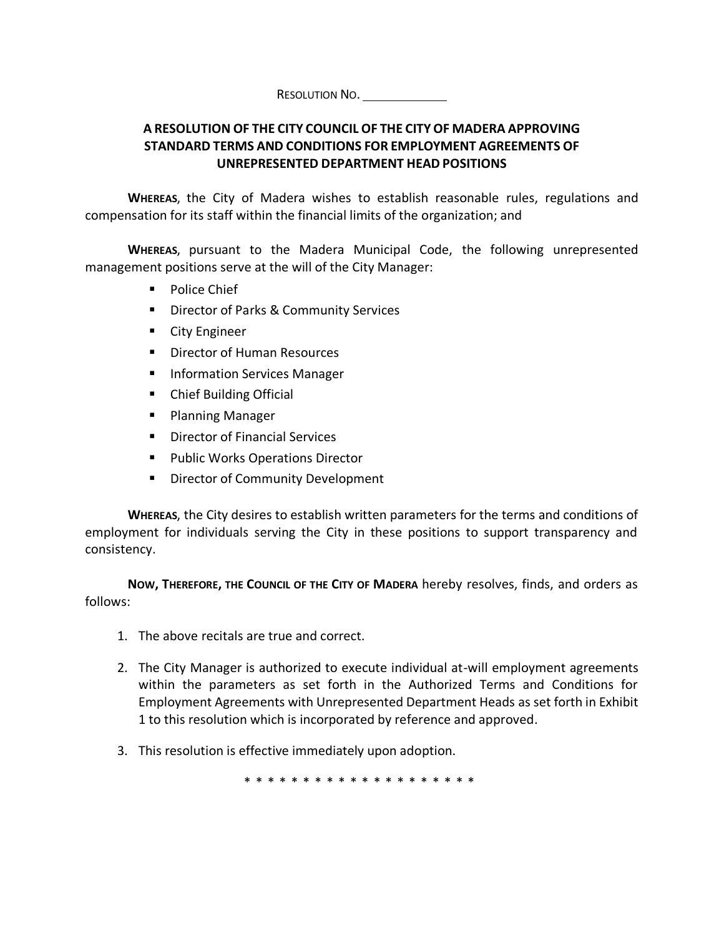RESOLUTION NO.

## **A RESOLUTION OF THE CITY COUNCIL OF THE CITYOF MADERA APPROVING STANDARD TERMS AND CONDITIONS FOR EMPLOYMENT AGREEMENTS OF UNREPRESENTED DEPARTMENT HEAD POSITIONS**

**WHEREAS**, the City of Madera wishes to establish reasonable rules, regulations and compensation for its staff within the financial limits of the organization; and

**WHEREAS**, pursuant to the Madera Municipal Code, the following unrepresented management positions serve at the will of the City Manager:

- Police Chief
- Director of Parks & Community Services
- City Engineer
- Director of Human Resources
- Information Services Manager
- Chief Building Official
- Planning Manager
- Director of Financial Services
- Public Works Operations Director
- **E** Director of Community Development

**WHEREAS**, the City desires to establish written parameters for the terms and conditions of employment for individuals serving the City in these positions to support transparency and consistency.

**NOW, THEREFORE, THE COUNCIL OF THE CITY OF MADERA** hereby resolves, finds, and orders as follows:

- 1. The above recitals are true and correct.
- 2. The City Manager is authorized to execute individual at-will employment agreements within the parameters as set forth in the Authorized Terms and Conditions for Employment Agreements with Unrepresented Department Heads as set forth in Exhibit 1 to this resolution which is incorporated by reference and approved.
- 3. This resolution is effective immediately upon adoption.

\* \* \* \* \* \* \* \* \* \* \* \* \* \* \* \* \* \* \* \*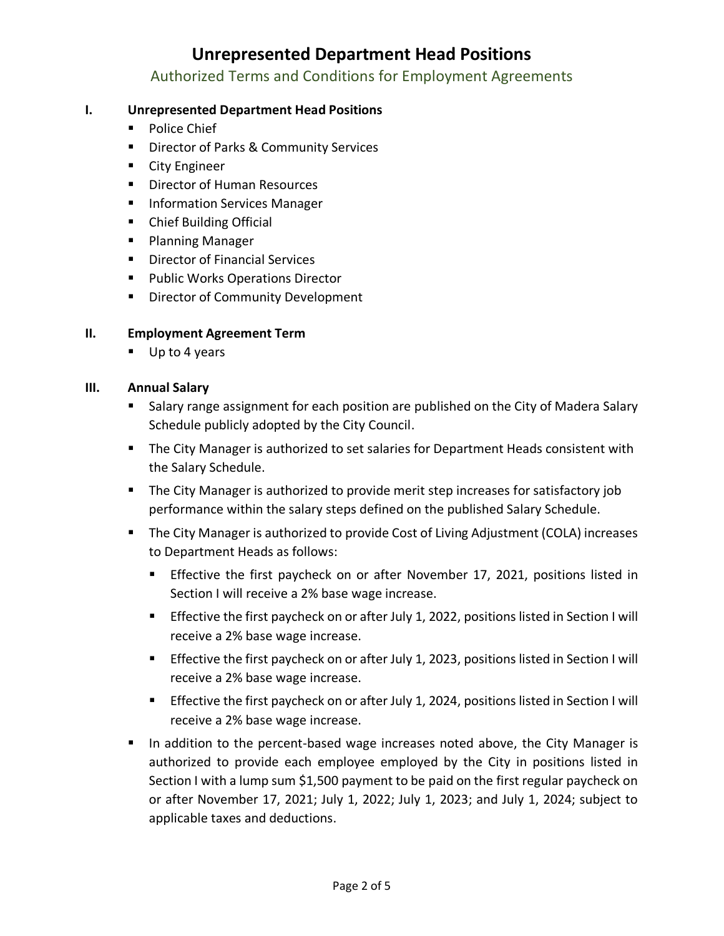Authorized Terms and Conditions for Employment Agreements

## **I. Unrepresented Department Head Positions**

- Police Chief
- Director of Parks & Community Services
- City Engineer
- Director of Human Resources
- **■** Information Services Manager
- Chief Building Official
- Planning Manager
- Director of Financial Services
- Public Works Operations Director
- **E** Director of Community Development

## **II. Employment Agreement Term**

■ Up to 4 years

## **III. Annual Salary**

- **E** Salary range assignment for each position are published on the City of Madera Salary Schedule publicly adopted by the City Council.
- The City Manager is authorized to set salaries for Department Heads consistent with the Salary Schedule.
- The City Manager is authorized to provide merit step increases for satisfactory job performance within the salary steps defined on the published Salary Schedule.
- The City Manager is authorized to provide Cost of Living Adjustment (COLA) increases to Department Heads as follows:
	- **Effective the first paycheck on or after November 17, 2021, positions listed in** Section I will receive a 2% base wage increase.
	- **Effective the first paycheck on or after July 1, 2022, positions listed in Section I will** receive a 2% base wage increase.
	- **Example 1** Effective the first paycheck on or after July 1, 2023, positions listed in Section I will receive a 2% base wage increase.
	- **Effective the first paycheck on or after July 1, 2024, positions listed in Section I will** receive a 2% base wage increase.
- In addition to the percent-based wage increases noted above, the City Manager is authorized to provide each employee employed by the City in positions listed in Section I with a lump sum \$1,500 payment to be paid on the first regular paycheck on or after November 17, 2021; July 1, 2022; July 1, 2023; and July 1, 2024; subject to applicable taxes and deductions.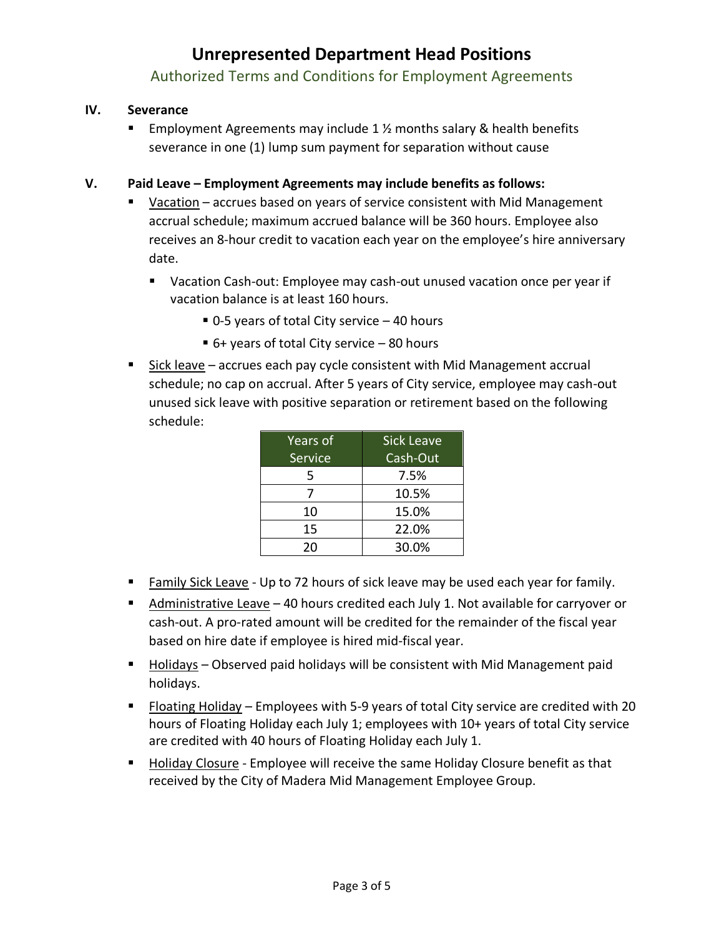Authorized Terms and Conditions for Employment Agreements

### **IV. Severance**

**Employment Agreements may include 1**  $\frac{1}{2}$  months salary & health benefits severance in one (1) lump sum payment for separation without cause

### **V. Paid Leave – Employment Agreements may include benefits as follows:**

- Vacation accrues based on years of service consistent with Mid Management accrual schedule; maximum accrued balance will be 360 hours. Employee also receives an 8-hour credit to vacation each year on the employee's hire anniversary date.
	- Vacation Cash-out: Employee may cash-out unused vacation once per year if vacation balance is at least 160 hours.
		- 0-5 years of total City service 40 hours
		- $\blacksquare$  6+ years of total City service 80 hours
- Sick leave accrues each pay cycle consistent with Mid Management accrual schedule; no cap on accrual. After 5 years of City service, employee may cash-out unused sick leave with positive separation or retirement based on the following schedule:

| Years of | <b>Sick Leave</b> |
|----------|-------------------|
| Service  | Cash-Out          |
| 5        | 7.5%              |
|          | 10.5%             |
| 10       | 15.0%             |
| 15       | 22.0%             |
| 20       | 30.0%             |

- Family Sick Leave Up to 72 hours of sick leave may be used each year for family.
- Administrative Leave 40 hours credited each July 1. Not available for carryover or cash-out. A pro-rated amount will be credited for the remainder of the fiscal year based on hire date if employee is hired mid-fiscal year.
- Holidays Observed paid holidays will be consistent with Mid Management paid holidays.
- Floating Holiday Employees with 5-9 years of total City service are credited with 20 hours of Floating Holiday each July 1; employees with 10+ years of total City service are credited with 40 hours of Floating Holiday each July 1.
- Holiday Closure Employee will receive the same Holiday Closure benefit as that received by the City of Madera Mid Management Employee Group.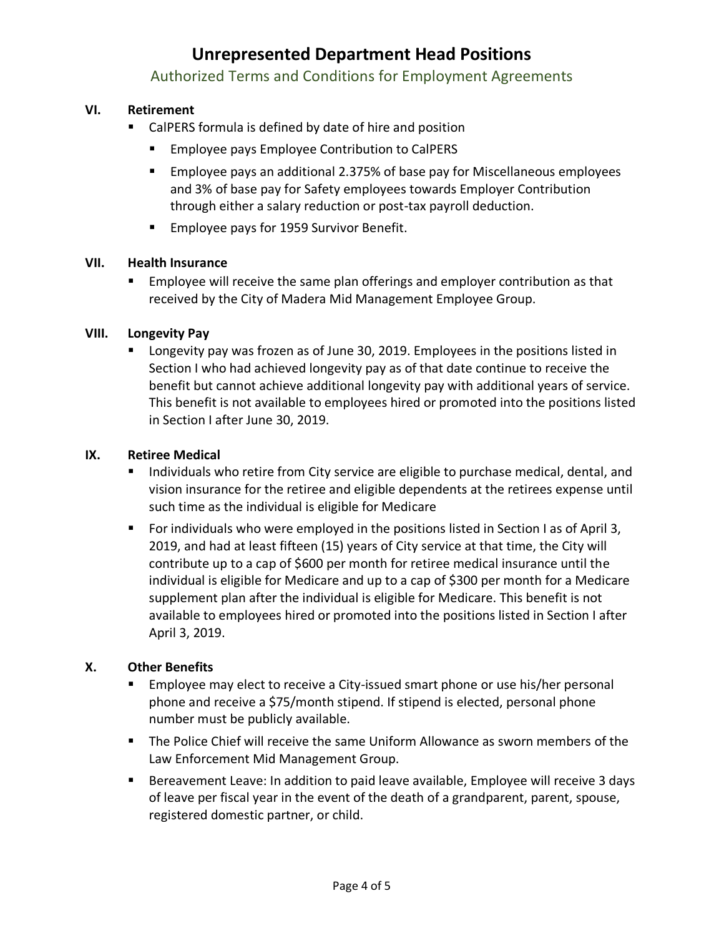### Authorized Terms and Conditions for Employment Agreements

### **VI. Retirement**

- CalPERS formula is defined by date of hire and position
	- Employee pays Employee Contribution to CalPERS
	- Employee pays an additional 2.375% of base pay for Miscellaneous employees and 3% of base pay for Safety employees towards Employer Contribution through either a salary reduction or post-tax payroll deduction.
	- Employee pays for 1959 Survivor Benefit.

#### **VII. Health Insurance**

**Employee will receive the same plan offerings and employer contribution as that** received by the City of Madera Mid Management Employee Group.

#### **VIII. Longevity Pay**

■ Longevity pay was frozen as of June 30, 2019. Employees in the positions listed in Section I who had achieved longevity pay as of that date continue to receive the benefit but cannot achieve additional longevity pay with additional years of service. This benefit is not available to employees hired or promoted into the positions listed in Section I after June 30, 2019.

#### **IX. Retiree Medical**

- Individuals who retire from City service are eligible to purchase medical, dental, and vision insurance for the retiree and eligible dependents at the retirees expense until such time as the individual is eligible for Medicare
- For individuals who were employed in the positions listed in Section I as of April 3, 2019, and had at least fifteen (15) years of City service at that time, the City will contribute up to a cap of \$600 per month for retiree medical insurance until the individual is eligible for Medicare and up to a cap of \$300 per month for a Medicare supplement plan after the individual is eligible for Medicare. This benefit is not available to employees hired or promoted into the positions listed in Section I after April 3, 2019.

### **X. Other Benefits**

- **Employee may elect to receive a City-issued smart phone or use his/her personal** phone and receive a \$75/month stipend. If stipend is elected, personal phone number must be publicly available.
- **•** The Police Chief will receive the same Uniform Allowance as sworn members of the Law Enforcement Mid Management Group.
- Bereavement Leave: In addition to paid leave available, Employee will receive 3 days of leave per fiscal year in the event of the death of a grandparent, parent, spouse, registered domestic partner, or child.